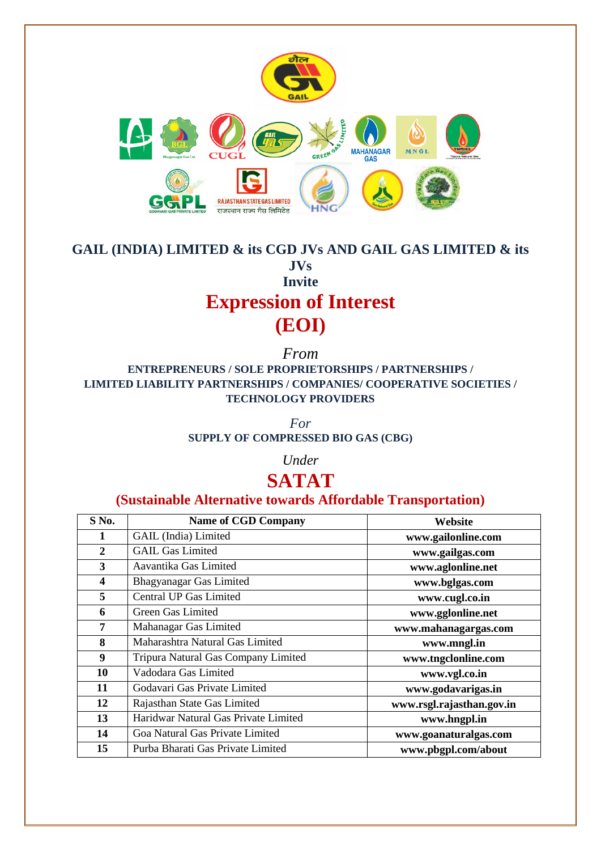

# **GAIL (INDIA) LIMITED & its CGD JVs AND GAIL GAS LIMITED & its JVs Invite Expression of Interest (EOI)**

*From* **ENTREPRENEURS / SOLE PROPRIETORSHIPS / PARTNERSHIPS / LIMITED LIABILITY PARTNERSHIPS / COMPANIES/ COOPERATIVE SOCIETIES / TECHNOLOGY PROVIDERS**

> *For* **SUPPLY OF COMPRESSED BIO GAS (CBG)**

> > *Under*

# **SATAT**

# **(Sustainable Alternative towards Affordable Transportation)**

| S No.        | <b>Name of CGD Company</b>           | Website                   |
|--------------|--------------------------------------|---------------------------|
| 1            | GAIL (India) Limited                 | www.gailonline.com        |
| $\mathbf{2}$ | <b>GAIL Gas Limited</b>              | www.gailgas.com           |
| 3            | Aavantika Gas Limited                | www.aglonline.net         |
| 4            | Bhagyanagar Gas Limited              | www.bglgas.com            |
| 5            | Central UP Gas Limited               | www.cugl.co.in            |
| 6            | Green Gas Limited                    | www.gglonline.net         |
| 7            | Mahanagar Gas Limited                | www.mahanagargas.com      |
| 8            | Maharashtra Natural Gas Limited      | www.mngl.in               |
| 9            | Tripura Natural Gas Company Limited  | www.tngclonline.com       |
| 10           | Vadodara Gas Limited                 | www.vgl.co.in             |
| 11           | Godavari Gas Private Limited         | www.godavarigas.in        |
| 12           | Rajasthan State Gas Limited          | www.rsgl.rajasthan.gov.in |
| 13           | Haridwar Natural Gas Private Limited | www.hngpl.in              |
| 14           | Goa Natural Gas Private Limited      | www.goanaturalgas.com     |
| 15           | Purba Bharati Gas Private Limited    | www.pbgpl.com/about       |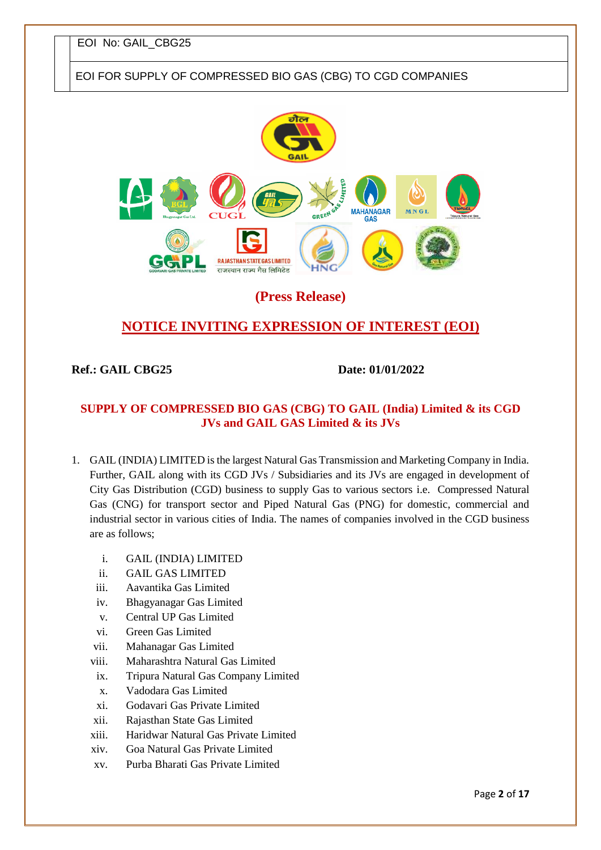# EOI FOR SUPPLY OF COMPRESSED BIO GAS (CBG) TO CGD COMPANIES



# **(Press Release)**

# **NOTICE INVITING EXPRESSION OF INTEREST (EOI)**

### **Ref.: GAIL CBG25** Date: 01/01/2022

## **SUPPLY OF COMPRESSED BIO GAS (CBG) TO GAIL (India) Limited & its CGD JVs and GAIL GAS Limited & its JVs**

- 1. GAIL (INDIA) LIMITED is the largest Natural Gas Transmission and Marketing Company in India. Further, GAIL along with its CGD JVs / Subsidiaries and its JVs are engaged in development of City Gas Distribution (CGD) business to supply Gas to various sectors i.e. Compressed Natural Gas (CNG) for transport sector and Piped Natural Gas (PNG) for domestic, commercial and industrial sector in various cities of India. The names of companies involved in the CGD business are as follows;
	- i. GAIL (INDIA) LIMITED
	- ii. GAIL GAS LIMITED
	- iii. Aavantika Gas Limited
	- iv. Bhagyanagar Gas Limited
	- v. Central UP Gas Limited
	- vi. Green Gas Limited
	- vii. Mahanagar Gas Limited
	- viii. Maharashtra Natural Gas Limited
	- ix. Tripura Natural Gas Company Limited
	- x. Vadodara Gas Limited
	- xi. Godavari Gas Private Limited
	- xii. Rajasthan State Gas Limited
	- xiii. Haridwar Natural Gas Private Limited
	- xiv. Goa Natural Gas Private Limited
	- xv. Purba Bharati Gas Private Limited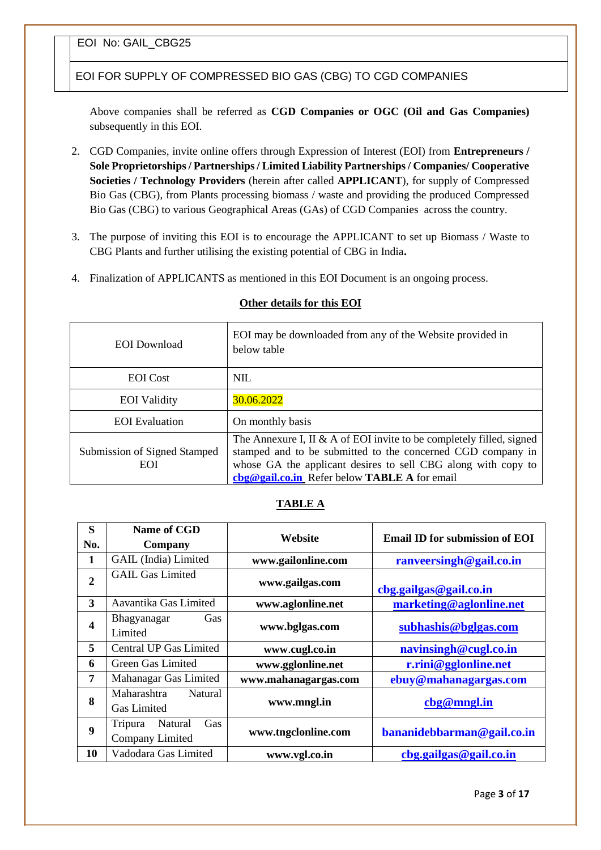EOI FOR SUPPLY OF COMPRESSED BIO GAS (CBG) TO CGD COMPANIES

Above companies shall be referred as **CGD Companies or OGC (Oil and Gas Companies)**  subsequently in this EOI.

- 2. CGD Companies, invite online offers through Expression of Interest (EOI) from **Entrepreneurs / Sole Proprietorships / Partnerships / Limited Liability Partnerships / Companies/ Cooperative Societies / Technology Providers** (herein after called **APPLICANT**), for supply of Compressed Bio Gas (CBG), from Plants processing biomass / waste and providing the produced Compressed Bio Gas (CBG) to various Geographical Areas (GAs) of CGD Companies across the country.
- 3. The purpose of inviting this EOI is to encourage the APPLICANT to set up Biomass / Waste to CBG Plants and further utilising the existing potential of CBG in India**.**
- 4. Finalization of APPLICANTS as mentioned in this EOI Document is an ongoing process.

#### **Other details for this EOI**

| <b>EOI</b> Download                 | EOI may be downloaded from any of the Website provided in<br>below table                                                                                                                                                                             |
|-------------------------------------|------------------------------------------------------------------------------------------------------------------------------------------------------------------------------------------------------------------------------------------------------|
| <b>EOI</b> Cost                     | <b>NIL</b>                                                                                                                                                                                                                                           |
| <b>EOI</b> Validity                 | 30.06.2022                                                                                                                                                                                                                                           |
| <b>EOI</b> Evaluation               | On monthly basis                                                                                                                                                                                                                                     |
| Submission of Signed Stamped<br>EOI | The Annexure I, II & A of EOI invite to be completely filled, signed<br>stamped and to be submitted to the concerned CGD company in<br>whose GA the applicant desires to sell CBG along with copy to<br>cbg@gail.co.in Refer below TABLE A for email |

#### **TABLE A**

| S<br>No.         | Name of CGD<br>Company                       | Website              | <b>Email ID for submission of EOI</b> |
|------------------|----------------------------------------------|----------------------|---------------------------------------|
| 1                | GAIL (India) Limited                         | www.gailonline.com   | ranveersingh@gail.co.in               |
| $\overline{2}$   | <b>GAIL Gas Limited</b>                      | www.gailgas.com      | cbg.gailgas@gail.co.in                |
| 3                | Aavantika Gas Limited                        | www.aglonline.net    | marketing@aglonline.net               |
| 4                | Bhagyanagar<br>Gas<br>Limited                | www.bglgas.com       | subhashis@bglgas.com                  |
| 5                | <b>Central UP Gas Limited</b>                | www.cugl.co.in       | navinsingh@cugl.co.in                 |
| 6                | Green Gas Limited                            | www.gglonline.net    | r.rini@gglonline.net                  |
| 7                | Mahanagar Gas Limited                        | www.mahanagargas.com | ebuy@mahanagargas.com                 |
| 8                | Maharashtra<br>Natural<br><b>Gas Limited</b> | www.mngl.in          | cbg@mngLin                            |
| $\boldsymbol{9}$ | Gas<br>Tripura<br>Natural<br>Company Limited | www.tngclonline.com  | bananidebbarman@gail.co.in            |
| 10               | Vadodara Gas Limited                         | www.vgl.co.in        | cbg.gailgas@gail.co.in                |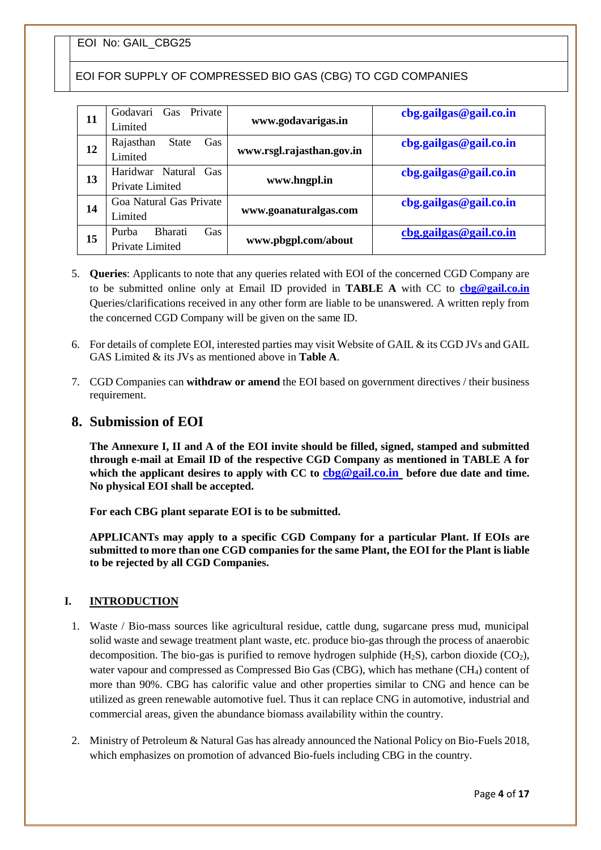EOI FOR SUPPLY OF COMPRESSED BIO GAS (CBG) TO CGD COMPANIES

| 11 | Private<br>Godavari<br>Gas<br>Limited                    | www.godavarigas.in        | cbg.gailgas@gail.co.in |
|----|----------------------------------------------------------|---------------------------|------------------------|
| 12 | Rajasthan<br><b>State</b><br>Gas<br>Limited              | www.rsgl.rajasthan.gov.in | cbg.gailgas@gail.co.in |
| 13 | Haridwar Natural<br>Gas<br>Private Limited               | www.hngpl.in              | cbg.gailgas@gail.co.in |
| 14 | Goa Natural Gas Private<br>Limited                       | www.goanaturalgas.com     | cbg.gailgas@gail.co.in |
| 15 | <b>Bharati</b><br><b>Gas</b><br>Purba<br>Private Limited | www.pbgpl.com/about       | cbg.gailgas@gail.co.in |

- 5. **Queries**: Applicants to note that any queries related with EOI of the concerned CGD Company are to be submitted online only at Email ID provided in **TABLE A** with CC to **[cbg@gail.co.in](mailto:cbg@gail.co.in)**  Queries/clarifications received in any other form are liable to be unanswered. A written reply from the concerned CGD Company will be given on the same ID.
- 6. For details of complete EOI, interested parties may visit Website of GAIL & its CGD JVs and GAIL GAS Limited & its JVs as mentioned above in **Table A**.
- 7. CGD Companies can **withdraw or amend** the EOI based on government directives / their business requirement.

#### **8. Submission of EOI**

**The Annexure I, II and A of the EOI invite should be filled, signed, stamped and submitted through e-mail at Email ID of the respective CGD Company as mentioned in TABLE A for which the applicant desires to apply with CC to [cbg@gail.co.in](mailto:cbg@gail.co.in) before due date and time. No physical EOI shall be accepted.** 

**For each CBG plant separate EOI is to be submitted.**

**APPLICANTs may apply to a specific CGD Company for a particular Plant. If EOIs are submitted to more than one CGD companies for the same Plant, the EOI for the Plant is liable to be rejected by all CGD Companies.** 

#### **I. INTRODUCTION**

- 1. Waste / Bio-mass sources like agricultural residue, cattle dung, sugarcane press mud, municipal solid waste and sewage treatment plant waste, etc. produce bio-gas through the process of anaerobic decomposition. The bio-gas is purified to remove hydrogen sulphide  $(H_2S)$ , carbon dioxide  $(CO_2)$ , water vapour and compressed as Compressed Bio Gas (CBG), which has methane (CH4) content of more than 90%. CBG has calorific value and other properties similar to CNG and hence can be utilized as green renewable automotive fuel. Thus it can replace CNG in automotive, industrial and commercial areas, given the abundance biomass availability within the country.
- 2. Ministry of Petroleum & Natural Gas has already announced the National Policy on Bio-Fuels 2018, which emphasizes on promotion of advanced Bio-fuels including CBG in the country.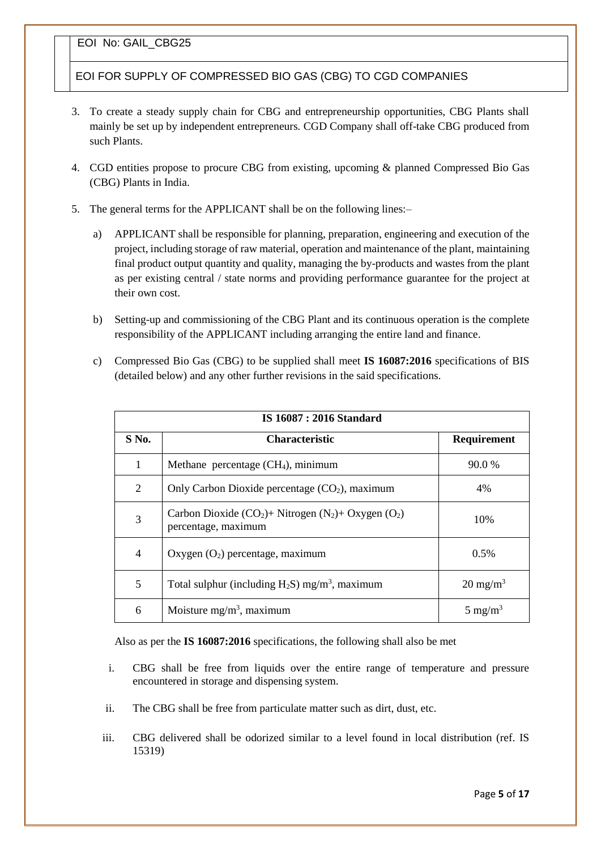EOI FOR SUPPLY OF COMPRESSED BIO GAS (CBG) TO CGD COMPANIES

- 3. To create a steady supply chain for CBG and entrepreneurship opportunities, CBG Plants shall mainly be set up by independent entrepreneurs. CGD Company shall off-take CBG produced from such Plants.
- 4. CGD entities propose to procure CBG from existing, upcoming & planned Compressed Bio Gas (CBG) Plants in India.
- 5. The general terms for the APPLICANT shall be on the following lines:–
	- a) APPLICANT shall be responsible for planning, preparation, engineering and execution of the project, including storage of raw material, operation and maintenance of the plant, maintaining final product output quantity and quality, managing the by-products and wastes from the plant as per existing central / state norms and providing performance guarantee for the project at their own cost.
	- b) Setting-up and commissioning of the CBG Plant and its continuous operation is the complete responsibility of the APPLICANT including arranging the entire land and finance.
	- c) Compressed Bio Gas (CBG) to be supplied shall meet **IS 16087:2016** specifications of BIS (detailed below) and any other further revisions in the said specifications.

| <b>IS 16087 : 2016 Standard</b> |                                                                                                                |                     |  |
|---------------------------------|----------------------------------------------------------------------------------------------------------------|---------------------|--|
| S No.                           | <b>Characteristic</b>                                                                                          | <b>Requirement</b>  |  |
| $\mathbf{1}$                    | Methane percentage $(CH4)$ , minimum                                                                           | 90.0 %              |  |
| $\overline{2}$                  | Only Carbon Dioxide percentage $(CO2)$ , maximum                                                               | 4%                  |  |
| 3                               | Carbon Dioxide (CO <sub>2</sub> )+ Nitrogen (N <sub>2</sub> )+ Oxygen (O <sub>2</sub> )<br>percentage, maximum | 10%                 |  |
| $\overline{4}$                  | Oxygen $(O_2)$ percentage, maximum                                                                             | 0.5%                |  |
| 5                               | Total sulphur (including $H_2S$ ) mg/m <sup>3</sup> , maximum                                                  | $20 \text{ mg/m}^3$ |  |
| 6                               | Moisture $mg/m^3$ , maximum                                                                                    | 5 mg/m <sup>3</sup> |  |

Also as per the **IS 16087:2016** specifications, the following shall also be met

- i. CBG shall be free from liquids over the entire range of temperature and pressure encountered in storage and dispensing system.
- ii. The CBG shall be free from particulate matter such as dirt, dust, etc.
- iii. CBG delivered shall be odorized similar to a level found in local distribution (ref. IS 15319)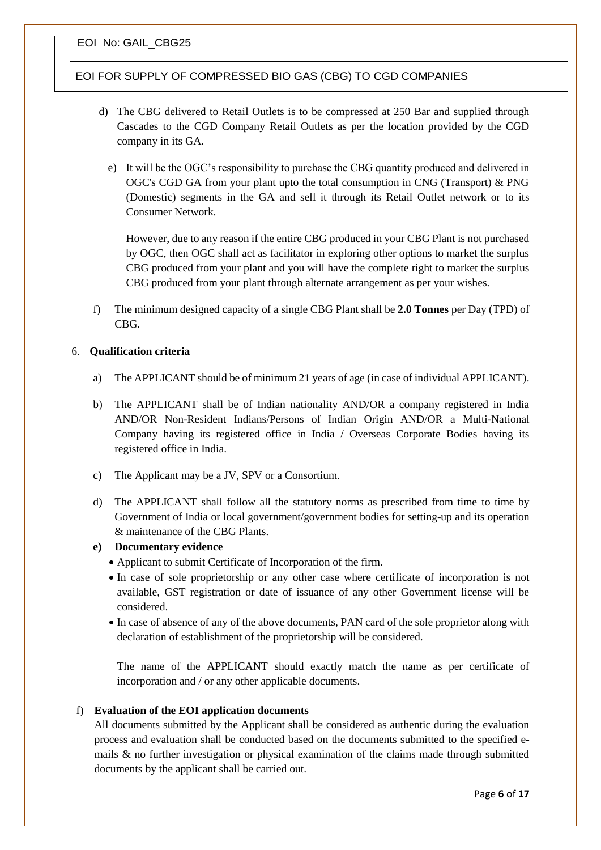EOI FOR SUPPLY OF COMPRESSED BIO GAS (CBG) TO CGD COMPANIES

- d) The CBG delivered to Retail Outlets is to be compressed at 250 Bar and supplied through Cascades to the CGD Company Retail Outlets as per the location provided by the CGD company in its GA.
	- e) It will be the OGC's responsibility to purchase the CBG quantity produced and delivered in OGC's CGD GA from your plant upto the total consumption in CNG (Transport) & PNG (Domestic) segments in the GA and sell it through its Retail Outlet network or to its Consumer Network.

However, due to any reason if the entire CBG produced in your CBG Plant is not purchased by OGC, then OGC shall act as facilitator in exploring other options to market the surplus CBG produced from your plant and you will have the complete right to market the surplus CBG produced from your plant through alternate arrangement as per your wishes.

f) The minimum designed capacity of a single CBG Plant shall be **2.0 Tonnes** per Day (TPD) of CBG.

#### 6. **Qualification criteria**

- a) The APPLICANT should be of minimum 21 years of age (in case of individual APPLICANT).
- b) The APPLICANT shall be of Indian nationality AND/OR a company registered in India AND/OR Non-Resident Indians/Persons of Indian Origin AND/OR a Multi-National Company having its registered office in India / Overseas Corporate Bodies having its registered office in India.
- c) The Applicant may be a JV, SPV or a Consortium.
- d) The APPLICANT shall follow all the statutory norms as prescribed from time to time by Government of India or local government/government bodies for setting-up and its operation & maintenance of the CBG Plants.

#### **e) Documentary evidence**

- Applicant to submit Certificate of Incorporation of the firm.
- In case of sole proprietorship or any other case where certificate of incorporation is not available, GST registration or date of issuance of any other Government license will be considered.
- In case of absence of any of the above documents, PAN card of the sole proprietor along with declaration of establishment of the proprietorship will be considered.

The name of the APPLICANT should exactly match the name as per certificate of incorporation and / or any other applicable documents.

#### f) **Evaluation of the EOI application documents**

All documents submitted by the Applicant shall be considered as authentic during the evaluation process and evaluation shall be conducted based on the documents submitted to the specified emails  $\&$  no further investigation or physical examination of the claims made through submitted documents by the applicant shall be carried out.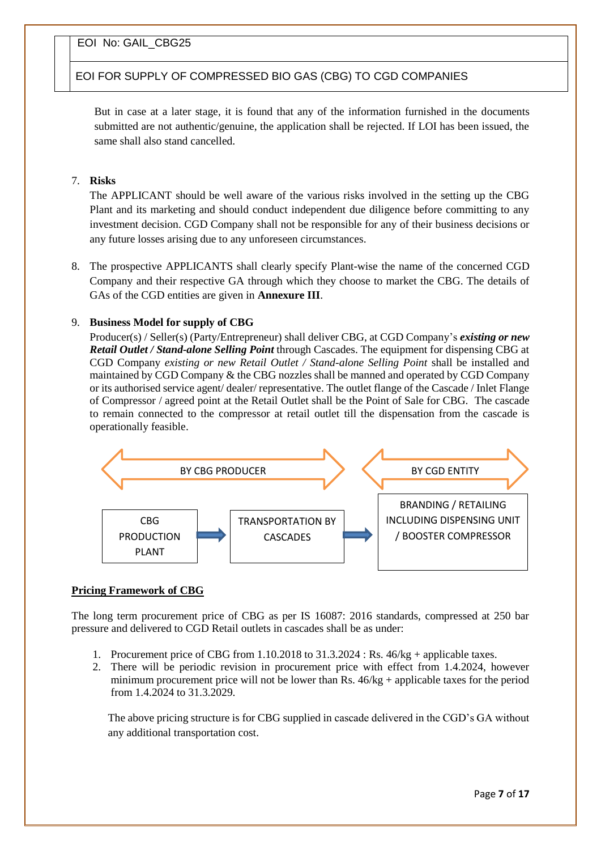EOI FOR SUPPLY OF COMPRESSED BIO GAS (CBG) TO CGD COMPANIES

But in case at a later stage, it is found that any of the information furnished in the documents submitted are not authentic/genuine, the application shall be rejected. If LOI has been issued, the same shall also stand cancelled.

#### 7. **Risks**

The APPLICANT should be well aware of the various risks involved in the setting up the CBG Plant and its marketing and should conduct independent due diligence before committing to any investment decision. CGD Company shall not be responsible for any of their business decisions or any future losses arising due to any unforeseen circumstances.

8. The prospective APPLICANTS shall clearly specify Plant-wise the name of the concerned CGD Company and their respective GA through which they choose to market the CBG. The details of GAs of the CGD entities are given in **Annexure III**.

#### 9. **Business Model for supply of CBG**

Producer(s) / Seller(s) (Party/Entrepreneur) shall deliver CBG, at CGD Company's *existing or new Retail Outlet / Stand-alone Selling Point* through Cascades. The equipment for dispensing CBG at CGD Company *existing or new Retail Outlet / Stand-alone Selling Point* shall be installed and maintained by CGD Company & the CBG nozzles shall be manned and operated by CGD Company or its authorised service agent/ dealer/ representative. The outlet flange of the Cascade / Inlet Flange of Compressor / agreed point at the Retail Outlet shall be the Point of Sale for CBG. The cascade to remain connected to the compressor at retail outlet till the dispensation from the cascade is operationally feasible.



#### **Pricing Framework of CBG**

The long term procurement price of CBG as per IS 16087: 2016 standards, compressed at 250 bar pressure and delivered to CGD Retail outlets in cascades shall be as under:

- 1. Procurement price of CBG from 1.10.2018 to 31.3.2024 : Rs. 46/kg + applicable taxes.
- 2. There will be periodic revision in procurement price with effect from 1.4.2024, however minimum procurement price will not be lower than Rs.  $46/kg +$  applicable taxes for the period from 1.4.2024 to 31.3.2029.

The above pricing structure is for CBG supplied in cascade delivered in the CGD's GA without any additional transportation cost.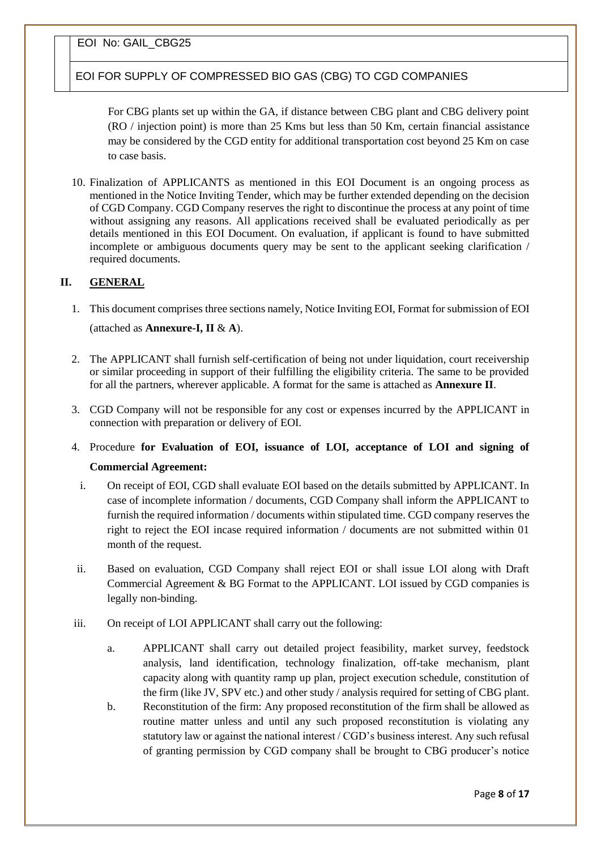EOI FOR SUPPLY OF COMPRESSED BIO GAS (CBG) TO CGD COMPANIES

For CBG plants set up within the GA, if distance between CBG plant and CBG delivery point (RO / injection point) is more than 25 Kms but less than 50 Km, certain financial assistance may be considered by the CGD entity for additional transportation cost beyond 25 Km on case to case basis.

10. Finalization of APPLICANTS as mentioned in this EOI Document is an ongoing process as mentioned in the Notice Inviting Tender, which may be further extended depending on the decision of CGD Company. CGD Company reserves the right to discontinue the process at any point of time without assigning any reasons. All applications received shall be evaluated periodically as per details mentioned in this EOI Document. On evaluation, if applicant is found to have submitted incomplete or ambiguous documents query may be sent to the applicant seeking clarification / required documents.

#### **II. GENERAL**

- 1. This document comprises three sections namely, Notice Inviting EOI, Format for submission of EOI (attached as **Annexure-I, II** & **A**).
- 2. The APPLICANT shall furnish self-certification of being not under liquidation, court receivership or similar proceeding in support of their fulfilling the eligibility criteria. The same to be provided for all the partners, wherever applicable. A format for the same is attached as **Annexure II**.
- 3. CGD Company will not be responsible for any cost or expenses incurred by the APPLICANT in connection with preparation or delivery of EOI.
- 4. Procedure **for Evaluation of EOI, issuance of LOI, acceptance of LOI and signing of Commercial Agreement:**
	- i. On receipt of EOI, CGD shall evaluate EOI based on the details submitted by APPLICANT. In case of incomplete information / documents, CGD Company shall inform the APPLICANT to furnish the required information / documents within stipulated time. CGD company reserves the right to reject the EOI incase required information / documents are not submitted within 01 month of the request.
- ii. Based on evaluation, CGD Company shall reject EOI or shall issue LOI along with Draft Commercial Agreement & BG Format to the APPLICANT. LOI issued by CGD companies is legally non-binding.
- iii. On receipt of LOI APPLICANT shall carry out the following:
	- a. APPLICANT shall carry out detailed project feasibility, market survey, feedstock analysis, land identification, technology finalization, off-take mechanism, plant capacity along with quantity ramp up plan, project execution schedule, constitution of the firm (like JV, SPV etc.) and other study / analysis required for setting of CBG plant.
	- b. Reconstitution of the firm: Any proposed reconstitution of the firm shall be allowed as routine matter unless and until any such proposed reconstitution is violating any statutory law or against the national interest / CGD's business interest. Any such refusal of granting permission by CGD company shall be brought to CBG producer's notice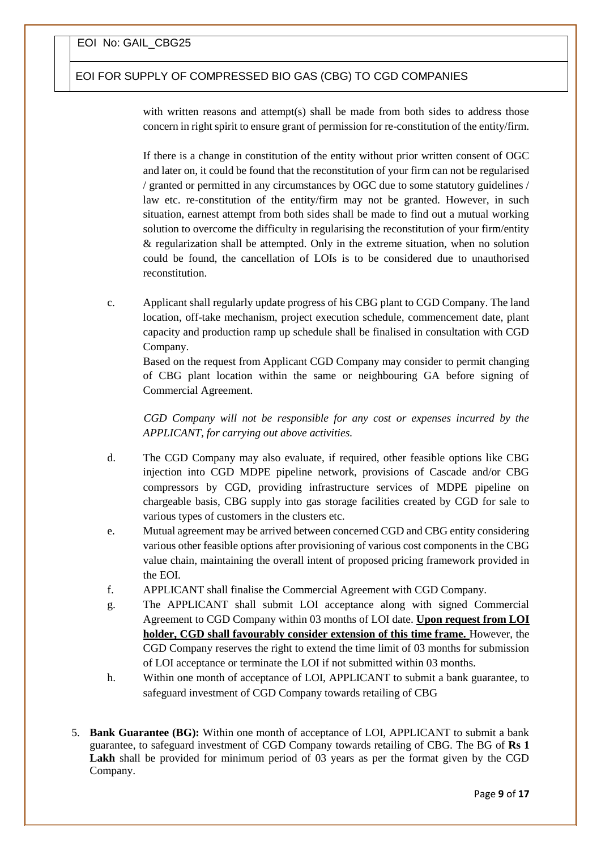#### EOI FOR SUPPLY OF COMPRESSED BIO GAS (CBG) TO CGD COMPANIES

with written reasons and attempt(s) shall be made from both sides to address those concern in right spirit to ensure grant of permission for re-constitution of the entity/firm.

If there is a change in constitution of the entity without prior written consent of OGC and later on, it could be found that the reconstitution of your firm can not be regularised / granted or permitted in any circumstances by OGC due to some statutory guidelines / law etc. re-constitution of the entity/firm may not be granted. However, in such situation, earnest attempt from both sides shall be made to find out a mutual working solution to overcome the difficulty in regularising the reconstitution of your firm/entity & regularization shall be attempted. Only in the extreme situation, when no solution could be found, the cancellation of LOIs is to be considered due to unauthorised reconstitution.

c. Applicant shall regularly update progress of his CBG plant to CGD Company. The land location, off-take mechanism, project execution schedule, commencement date, plant capacity and production ramp up schedule shall be finalised in consultation with CGD Company.

Based on the request from Applicant CGD Company may consider to permit changing of CBG plant location within the same or neighbouring GA before signing of Commercial Agreement.

*CGD Company will not be responsible for any cost or expenses incurred by the APPLICANT, for carrying out above activities.*

- d. The CGD Company may also evaluate, if required, other feasible options like CBG injection into CGD MDPE pipeline network, provisions of Cascade and/or CBG compressors by CGD, providing infrastructure services of MDPE pipeline on chargeable basis, CBG supply into gas storage facilities created by CGD for sale to various types of customers in the clusters etc.
- e. Mutual agreement may be arrived between concerned CGD and CBG entity considering various other feasible options after provisioning of various cost components in the CBG value chain, maintaining the overall intent of proposed pricing framework provided in the EOI.
- f. APPLICANT shall finalise the Commercial Agreement with CGD Company.
- g. The APPLICANT shall submit LOI acceptance along with signed Commercial Agreement to CGD Company within 03 months of LOI date. **Upon request from LOI holder, CGD shall favourably consider extension of this time frame.** However, the CGD Company reserves the right to extend the time limit of 03 months for submission of LOI acceptance or terminate the LOI if not submitted within 03 months.
- h. Within one month of acceptance of LOI, APPLICANT to submit a bank guarantee, to safeguard investment of CGD Company towards retailing of CBG
- 5. **Bank Guarantee (BG):** Within one month of acceptance of LOI, APPLICANT to submit a bank guarantee, to safeguard investment of CGD Company towards retailing of CBG. The BG of **Rs 1**  Lakh shall be provided for minimum period of 03 years as per the format given by the CGD Company.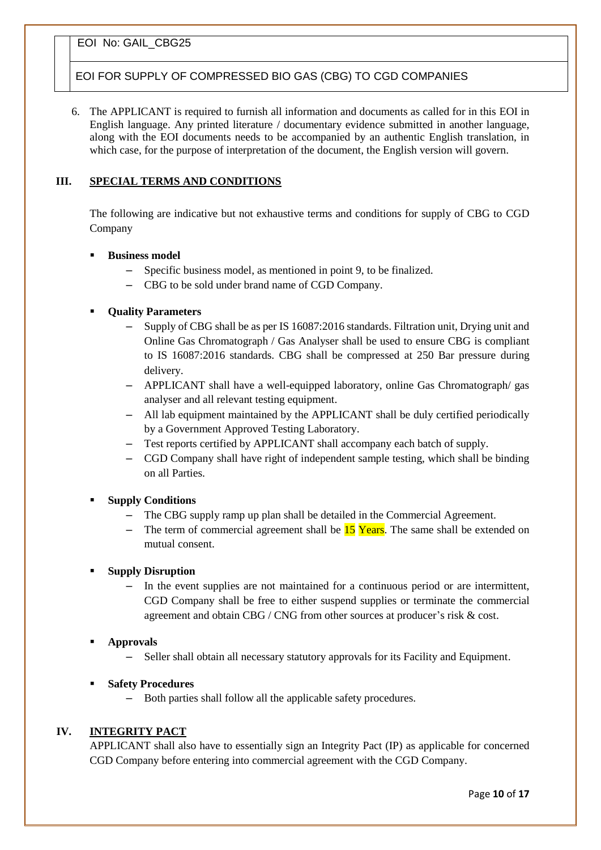#### EOI FOR SUPPLY OF COMPRESSED BIO GAS (CBG) TO CGD COMPANIES

6. The APPLICANT is required to furnish all information and documents as called for in this EOI in English language. Any printed literature / documentary evidence submitted in another language, along with the EOI documents needs to be accompanied by an authentic English translation, in which case, for the purpose of interpretation of the document, the English version will govern.

#### **III. SPECIAL TERMS AND CONDITIONS**

The following are indicative but not exhaustive terms and conditions for supply of CBG to CGD Company

- **Business model** 
	- Specific business model, as mentioned in point 9, to be finalized.
	- CBG to be sold under brand name of CGD Company.
- **Quality Parameters**
	- Supply of CBG shall be as per IS 16087:2016 standards. Filtration unit, Drying unit and Online Gas Chromatograph / Gas Analyser shall be used to ensure CBG is compliant to IS 16087:2016 standards. CBG shall be compressed at 250 Bar pressure during delivery.
	- APPLICANT shall have a well-equipped laboratory, online Gas Chromatograph/ gas analyser and all relevant testing equipment.
	- All lab equipment maintained by the APPLICANT shall be duly certified periodically by a Government Approved Testing Laboratory.
	- Test reports certified by APPLICANT shall accompany each batch of supply.
	- CGD Company shall have right of independent sample testing, which shall be binding on all Parties.

#### **Supply Conditions**

- The CBG supply ramp up plan shall be detailed in the Commercial Agreement.
- The term of commercial agreement shall be  $15$  Years. The same shall be extended on mutual consent.

#### **Supply Disruption**

- In the event supplies are not maintained for a continuous period or are intermittent, CGD Company shall be free to either suspend supplies or terminate the commercial agreement and obtain CBG / CNG from other sources at producer's risk & cost.
- **Approvals**
	- Seller shall obtain all necessary statutory approvals for its Facility and Equipment.
- **Safety Procedures**
	- Both parties shall follow all the applicable safety procedures.

#### **IV. INTEGRITY PACT**

APPLICANT shall also have to essentially sign an Integrity Pact (IP) as applicable for concerned CGD Company before entering into commercial agreement with the CGD Company.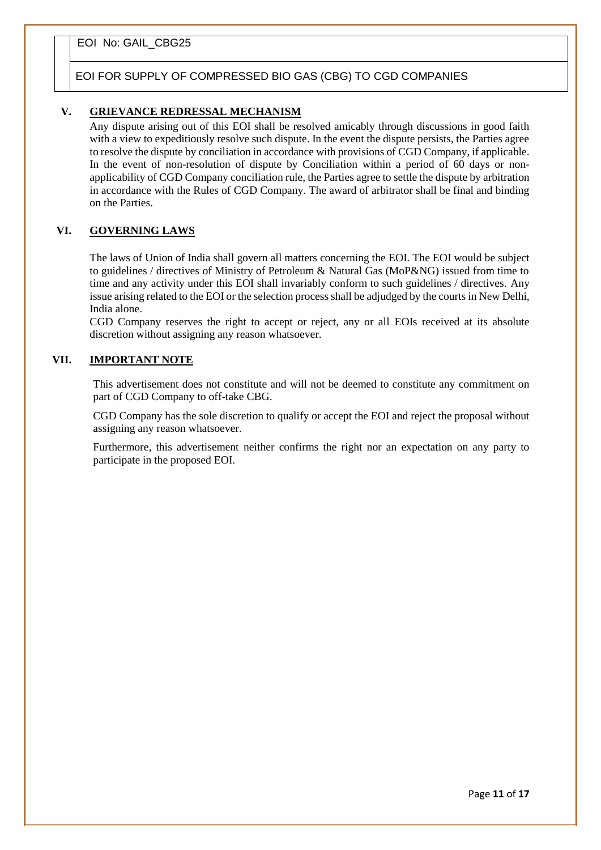#### EOI FOR SUPPLY OF COMPRESSED BIO GAS (CBG) TO CGD COMPANIES

#### **V. GRIEVANCE REDRESSAL MECHANISM**

Any dispute arising out of this EOI shall be resolved amicably through discussions in good faith with a view to expeditiously resolve such dispute. In the event the dispute persists, the Parties agree to resolve the dispute by conciliation in accordance with provisions of CGD Company, if applicable. In the event of non-resolution of dispute by Conciliation within a period of 60 days or nonapplicability of CGD Company conciliation rule, the Parties agree to settle the dispute by arbitration in accordance with the Rules of CGD Company. The award of arbitrator shall be final and binding on the Parties.

#### **VI. GOVERNING LAWS**

The laws of Union of India shall govern all matters concerning the EOI. The EOI would be subject to guidelines / directives of Ministry of Petroleum & Natural Gas (MoP&NG) issued from time to time and any activity under this EOI shall invariably conform to such guidelines / directives. Any issue arising related to the EOI or the selection process shall be adjudged by the courts in New Delhi, India alone.

CGD Company reserves the right to accept or reject, any or all EOIs received at its absolute discretion without assigning any reason whatsoever.

#### **VII. IMPORTANT NOTE**

This advertisement does not constitute and will not be deemed to constitute any commitment on part of CGD Company to off-take CBG.

CGD Company has the sole discretion to qualify or accept the EOI and reject the proposal without assigning any reason whatsoever.

Furthermore, this advertisement neither confirms the right nor an expectation on any party to participate in the proposed EOI.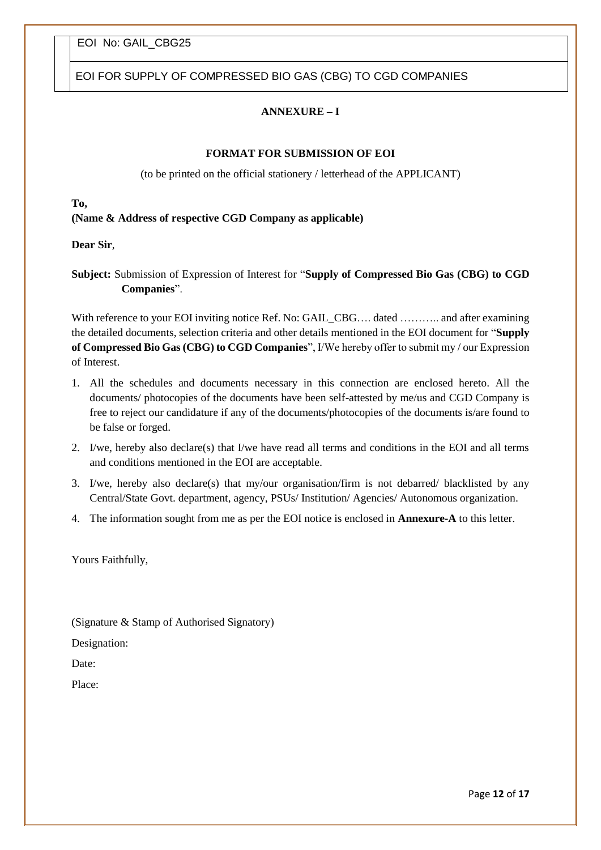EOI FOR SUPPLY OF COMPRESSED BIO GAS (CBG) TO CGD COMPANIES

#### **ANNEXURE – I**

#### **FORMAT FOR SUBMISSION OF EOI**

(to be printed on the official stationery / letterhead of the APPLICANT)

#### **To,**

**(Name & Address of respective CGD Company as applicable)**

**Dear Sir**,

**Subject:** Submission of Expression of Interest for "**Supply of Compressed Bio Gas (CBG) to CGD Companies**".

With reference to your EOI inviting notice Ref. No: GAIL\_CBG.... dated ........... and after examining the detailed documents, selection criteria and other details mentioned in the EOI document for "**Supply of Compressed Bio Gas (CBG) to CGD Companies**", I/We hereby offer to submit my / our Expression of Interest.

- 1. All the schedules and documents necessary in this connection are enclosed hereto. All the documents/ photocopies of the documents have been self-attested by me/us and CGD Company is free to reject our candidature if any of the documents/photocopies of the documents is/are found to be false or forged.
- 2. I/we, hereby also declare(s) that I/we have read all terms and conditions in the EOI and all terms and conditions mentioned in the EOI are acceptable.
- 3. I/we, hereby also declare(s) that my/our organisation/firm is not debarred/ blacklisted by any Central/State Govt. department, agency, PSUs/ Institution/ Agencies/ Autonomous organization.
- 4. The information sought from me as per the EOI notice is enclosed in **Annexure-A** to this letter.

Yours Faithfully,

(Signature & Stamp of Authorised Signatory)

Designation:

Date:

Place: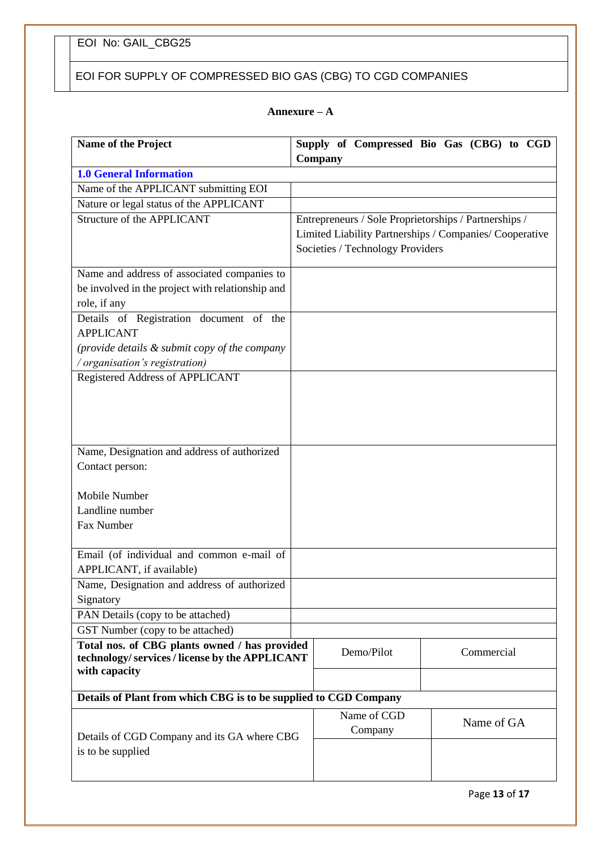# EOI FOR SUPPLY OF COMPRESSED BIO GAS (CBG) TO CGD COMPANIES

#### **Annexure – A**

| Name of the Project                                                                                             | Company                                                                                                                                              | Supply of Compressed Bio Gas (CBG) to CGD |  |
|-----------------------------------------------------------------------------------------------------------------|------------------------------------------------------------------------------------------------------------------------------------------------------|-------------------------------------------|--|
| <b>1.0 General Information</b>                                                                                  |                                                                                                                                                      |                                           |  |
| Name of the APPLICANT submitting EOI                                                                            |                                                                                                                                                      |                                           |  |
| Nature or legal status of the APPLICANT                                                                         |                                                                                                                                                      |                                           |  |
| Structure of the APPLICANT                                                                                      | Entrepreneurs / Sole Proprietorships / Partnerships /<br>Limited Liability Partnerships / Companies/ Cooperative<br>Societies / Technology Providers |                                           |  |
| Name and address of associated companies to<br>be involved in the project with relationship and<br>role, if any |                                                                                                                                                      |                                           |  |
| Details of Registration document of the                                                                         |                                                                                                                                                      |                                           |  |
| <b>APPLICANT</b>                                                                                                |                                                                                                                                                      |                                           |  |
| (provide details & submit copy of the company                                                                   |                                                                                                                                                      |                                           |  |
| / organisation's registration)                                                                                  |                                                                                                                                                      |                                           |  |
| Registered Address of APPLICANT                                                                                 |                                                                                                                                                      |                                           |  |
| Name, Designation and address of authorized                                                                     |                                                                                                                                                      |                                           |  |
| Contact person:                                                                                                 |                                                                                                                                                      |                                           |  |
|                                                                                                                 |                                                                                                                                                      |                                           |  |
| Mobile Number                                                                                                   |                                                                                                                                                      |                                           |  |
| Landline number                                                                                                 |                                                                                                                                                      |                                           |  |
| Fax Number                                                                                                      |                                                                                                                                                      |                                           |  |
|                                                                                                                 |                                                                                                                                                      |                                           |  |
| Email (of individual and common e-mail of                                                                       |                                                                                                                                                      |                                           |  |
| APPLICANT, if available)                                                                                        |                                                                                                                                                      |                                           |  |
| Name, Designation and address of authorized                                                                     |                                                                                                                                                      |                                           |  |
| Signatory                                                                                                       |                                                                                                                                                      |                                           |  |
| PAN Details (copy to be attached)                                                                               |                                                                                                                                                      |                                           |  |
| GST Number (copy to be attached)                                                                                |                                                                                                                                                      |                                           |  |
| Total nos. of CBG plants owned / has provided<br>technology/services/license by the APPLICANT<br>with capacity  | Demo/Pilot                                                                                                                                           | Commercial                                |  |
|                                                                                                                 |                                                                                                                                                      |                                           |  |
| Details of Plant from which CBG is to be supplied to CGD Company                                                |                                                                                                                                                      |                                           |  |
|                                                                                                                 | Name of CGD                                                                                                                                          | Name of GA                                |  |
| Details of CGD Company and its GA where CBG                                                                     | Company                                                                                                                                              |                                           |  |
| is to be supplied                                                                                               |                                                                                                                                                      |                                           |  |
|                                                                                                                 |                                                                                                                                                      |                                           |  |
|                                                                                                                 |                                                                                                                                                      |                                           |  |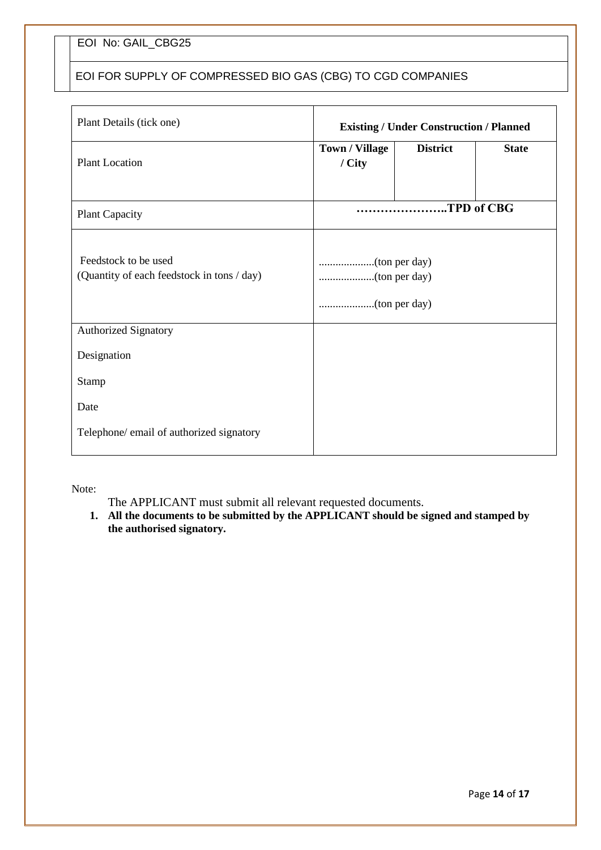# EOI FOR SUPPLY OF COMPRESSED BIO GAS (CBG) TO CGD COMPANIES

| Plant Details (tick one)                                           | <b>Existing / Under Construction / Planned</b> |                 |              |
|--------------------------------------------------------------------|------------------------------------------------|-----------------|--------------|
| <b>Plant Location</b>                                              | <b>Town / Village</b><br>/ City                | <b>District</b> | <b>State</b> |
| <b>Plant Capacity</b>                                              |                                                | TPD of CBG      |              |
| Feedstock to be used<br>(Quantity of each feedstock in tons / day) |                                                |                 |              |
| <b>Authorized Signatory</b>                                        |                                                |                 |              |
| Designation                                                        |                                                |                 |              |
| Stamp                                                              |                                                |                 |              |
| Date                                                               |                                                |                 |              |
| Telephone/ email of authorized signatory                           |                                                |                 |              |

Note:

The APPLICANT must submit all relevant requested documents.

1. All the documents to be submitted by the APPLICANT should be signed and stamped by **the authorised signatory.**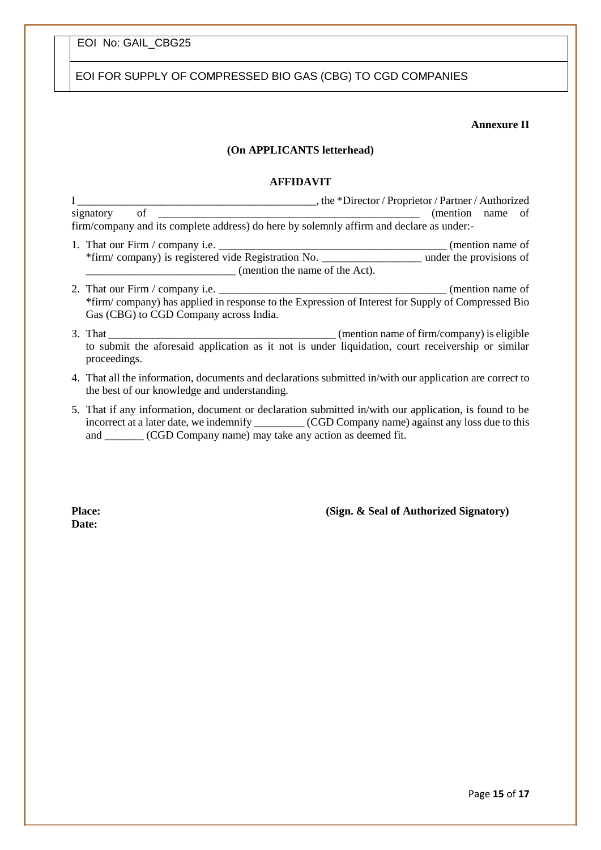EOI FOR SUPPLY OF COMPRESSED BIO GAS (CBG) TO CGD COMPANIES

#### **Annexure II**

#### **(On APPLICANTS letterhead)**

#### **AFFIDAVIT**

I \_\_\_\_\_\_\_\_\_\_\_\_\_\_\_\_\_\_\_\_\_\_\_\_\_\_\_\_\_\_\_\_\_\_\_\_\_\_\_\_\_\_\_, the \*Director / Proprietor / Partner / Authorized signatory of \_\_\_\_\_\_\_\_\_\_\_\_\_\_\_\_\_\_\_\_\_\_\_\_\_\_\_\_\_\_\_\_\_\_\_\_\_\_\_\_\_\_\_\_\_\_\_ (mention name of firm/company and its complete address) do here by solemnly affirm and declare as under:-

- 1. That our Firm / company i.e. \_\_\_\_\_\_\_\_\_\_\_\_\_\_\_\_\_\_\_\_\_\_\_\_\_\_\_\_\_\_\_\_\_\_\_\_\_\_\_\_\_ (mention name of \*firm/ company) is registered vide Registration No. \_\_\_\_\_\_\_\_\_\_\_\_\_\_\_\_\_\_ under the provisions of \_\_\_\_\_\_\_\_\_\_\_\_\_\_\_\_\_\_\_\_\_\_\_\_\_\_\_ (mention the name of the Act).
- 2. That our Firm / company i.e. \_\_\_\_\_\_\_\_\_\_\_\_\_\_\_\_\_\_\_\_\_\_\_\_\_\_\_\_\_\_\_\_\_\_\_\_\_\_\_\_\_ (mention name of \*firm/ company) has applied in response to the Expression of Interest for Supply of Compressed Bio Gas (CBG) to CGD Company across India.
- 3. That \_\_\_\_\_\_\_\_\_\_\_\_\_\_\_\_\_\_\_\_\_\_\_\_\_\_\_\_\_\_\_\_\_\_\_\_\_\_\_\_\_ (mention name of firm/company) is eligible to submit the aforesaid application as it not is under liquidation, court receivership or similar proceedings.
- 4. That all the information, documents and declarations submitted in/with our application are correct to the best of our knowledge and understanding.
- 5. That if any information, document or declaration submitted in/with our application, is found to be incorrect at a later date, we indemnify \_\_\_\_\_\_\_\_\_ (CGD Company name) against any loss due to this and \_\_\_\_\_\_\_ (CGD Company name) may take any action as deemed fit.

**Date:**

**Place:** (Sign. & Seal of Authorized Signatory)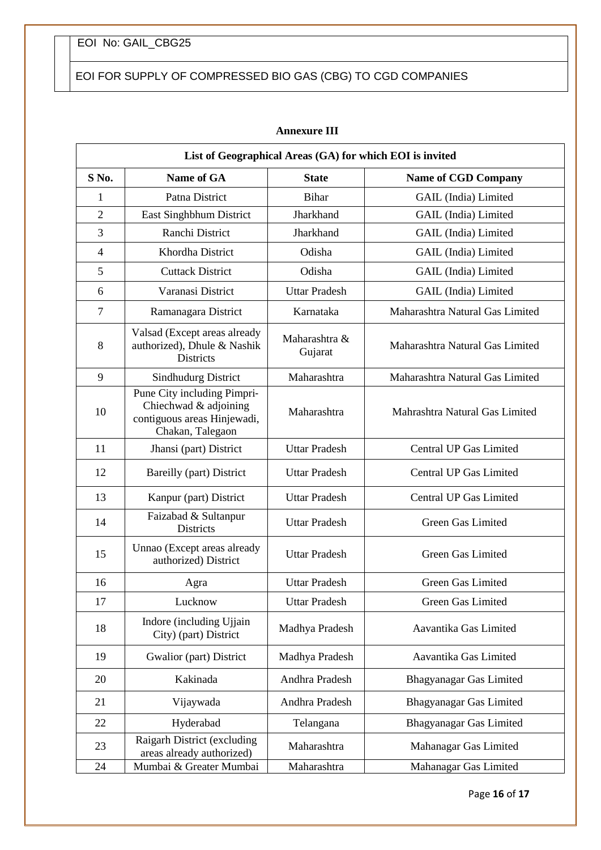EOI FOR SUPPLY OF COMPRESSED BIO GAS (CBG) TO CGD COMPANIES

| List of Geographical Areas (GA) for which EOI is invited |                                                                                                         |                          |                                 |
|----------------------------------------------------------|---------------------------------------------------------------------------------------------------------|--------------------------|---------------------------------|
| S No.                                                    | <b>Name of GA</b>                                                                                       | <b>State</b>             | <b>Name of CGD Company</b>      |
| 1                                                        | Patna District                                                                                          | Bihar                    | GAIL (India) Limited            |
| $\overline{2}$                                           | East Singhbhum District                                                                                 | Jharkhand                | <b>GAIL</b> (India) Limited     |
| 3                                                        | Ranchi District                                                                                         | Jharkhand                | GAIL (India) Limited            |
| $\overline{4}$                                           | Khordha District                                                                                        | Odisha                   | GAIL (India) Limited            |
| 5                                                        | <b>Cuttack District</b>                                                                                 | Odisha                   | GAIL (India) Limited            |
| 6                                                        | Varanasi District                                                                                       | <b>Uttar Pradesh</b>     | GAIL (India) Limited            |
| $\overline{7}$                                           | Ramanagara District                                                                                     | Karnataka                | Maharashtra Natural Gas Limited |
| 8                                                        | Valsad (Except areas already<br>authorized), Dhule & Nashik<br><b>Districts</b>                         | Maharashtra &<br>Gujarat | Maharashtra Natural Gas Limited |
| 9                                                        | <b>Sindhudurg District</b>                                                                              | Maharashtra              | Maharashtra Natural Gas Limited |
| 10                                                       | Pune City including Pimpri-<br>Chiechwad & adjoining<br>contiguous areas Hinjewadi,<br>Chakan, Talegaon | Maharashtra              | Mahrashtra Natural Gas Limited  |
| 11                                                       | Jhansi (part) District                                                                                  | <b>Uttar Pradesh</b>     | Central UP Gas Limited          |
| 12                                                       | Bareilly (part) District                                                                                | <b>Uttar Pradesh</b>     | Central UP Gas Limited          |
| 13                                                       | Kanpur (part) District                                                                                  | <b>Uttar Pradesh</b>     | Central UP Gas Limited          |
| 14                                                       | Faizabad & Sultanpur<br><b>Districts</b>                                                                | <b>Uttar Pradesh</b>     | Green Gas Limited               |
| 15                                                       | Unnao (Except areas already<br>authorized) District                                                     | <b>Uttar Pradesh</b>     | Green Gas Limited               |
| 16                                                       | Agra                                                                                                    | <b>Uttar Pradesh</b>     | Green Gas Limited               |
| 17                                                       | Lucknow                                                                                                 | <b>Uttar Pradesh</b>     | Green Gas Limited               |
| 18                                                       | Indore (including Ujjain<br>City) (part) District                                                       | Madhya Pradesh           | Aavantika Gas Limited           |
| 19                                                       | Gwalior (part) District                                                                                 | Madhya Pradesh           | Aavantika Gas Limited           |
| 20                                                       | Kakinada                                                                                                | Andhra Pradesh           | Bhagyanagar Gas Limited         |
| 21                                                       | Vijaywada                                                                                               | Andhra Pradesh           | Bhagyanagar Gas Limited         |
| 22                                                       | Hyderabad                                                                                               | Telangana                | Bhagyanagar Gas Limited         |
| 23                                                       | Raigarh District (excluding<br>areas already authorized)                                                | Maharashtra              | Mahanagar Gas Limited           |
| 24                                                       | Mumbai & Greater Mumbai                                                                                 | Maharashtra              | Mahanagar Gas Limited           |

#### **Annexure III**

Page **16** of **17**